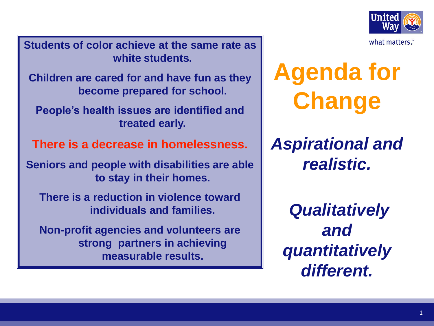

**Students of color achieve at the same rate as white students.**

**Children are cared for and have fun as they become prepared for school.**

**People's health issues are identified and treated early.** 

**There is a decrease in homelessness.**

**Seniors and people with disabilities are able to stay in their homes.**

**There is a reduction in violence toward individuals and families.**

**Non-profit agencies and volunteers are strong partners in achieving measurable results.**

**Agenda for Change**

*Aspirational and realistic.*

*Qualitatively and quantitatively different.*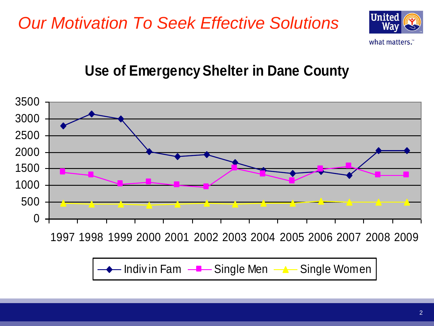## *Our Motivation To Seek Effective Solutions*



#### **Use of Emergency Shelter in Dane County**

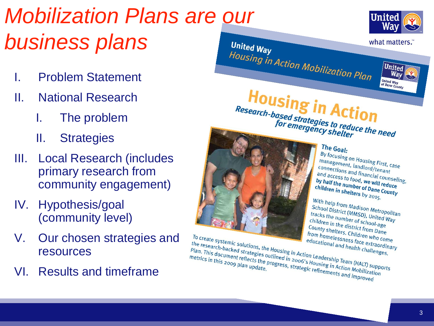## *Mobilization Plans are our business plans*  United Way Housing in Action Mobilization Plan

- I. Problem Statement
- II. National Research
	- I. The problem
	- II. Strategies
- III. Local Research (includes primary research from community engagement)
- IV. Hypothesis/goal (community level)
- V. Our chosen strategies and resources
- VI. Results and timeframe



what matters.

**United** 

**United Way** 

of Dane County Housing in Action Research-based strategies to reduce the need



The Goal: <sup>-11</sup> **COal:**<br>By focusing on Housing First, case<br>connections, landlord/tenant management, landlord/tirst, can<br>connections and lord/tenant management, landlord/tenant<br>connections and financial counseling,<br>and access to food, we will reduced by half the number and access to food, we will reduce<br>by half the number of Dana Counseli<br>thildren in the number of Dana Counce by half the number of Dane Counseling<br>by half the number of Dane County<br>children in shelters by 2015 children in shelters by 2015.

With help from Madison<br>School District (MMSD), United Water<br>tracks the number (MMSD), United Water with help from Madison Metropolita<br>School District (MMSD), United Way<br>tracks the number of school-age Way **Example 15 District (MMSD), United V**<br>tracks the number of school-age<br>County shall the district from a ge children in the district from bare<br>County shelters of school-age<br>From bornelters. Children wane County shelters. Children who come<br>from homelessness face extractional Founty shelters. Children who come<br>from homelessness face extraordinary<br>educational and health challenges

To create systemic solutions, the Housing in Action Leadership Team (HALT) supports<br>Plan. This document reflects the progress, strategic refinements and health challenges.<br>
Metrics in this 2009 plan update. <sup>10</sup> Create systemic solutions, the Housing in Action Leadership Team (HALT) supportions in this 2009 plan update.<br>
This document reflects the progress, strategic refinements and health challenge metrics in this 2009 plan The research-backed strategies outlined in 2006's Housing in Action<br>Plan. This document reflects the progress, strategic refinements and Mealth Challer<br>metrics in this 2009 plan update.<br>Many planes of the progress, strateg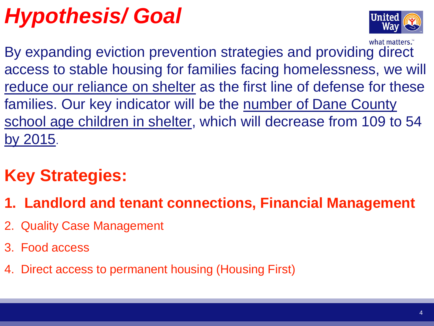# *Hypothesis/ Goal*



what matters." By expanding eviction prevention strategies and providing direct access to stable housing for families facing homelessness, we will reduce our reliance on shelter as the first line of defense for these families. Our key indicator will be the number of Dane County school age children in shelter, which will decrease from 109 to 54 by 2015.

## **Key Strategies:**

- **1. Landlord and tenant connections, Financial Management**
- 2. Quality Case Management
- 3. Food access
- 4. Direct access to permanent housing (Housing First)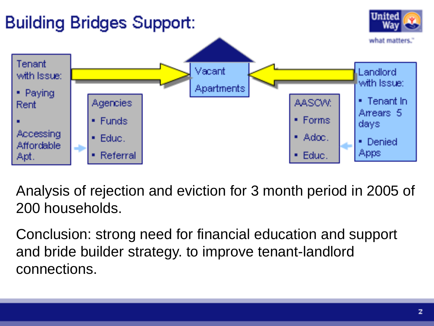

Analysis of rejection and eviction for 3 month period in 2005 of 200 households.

Conclusion: strong need for financial education and support and bride builder strategy. to improve tenant-landlord connections.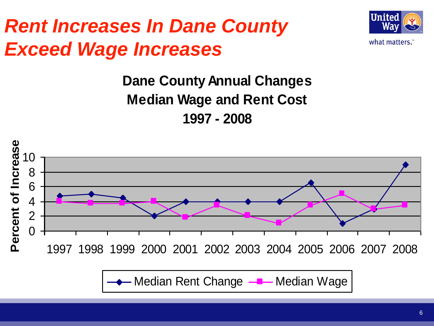## *Rent Increases In Dane County Exceed Wage Increases*



## **Dane County Annual Changes Median Wage and Rent Cost 1997 - 2008**



Median Rent Change  $\frac{1}{2}$  Median Wage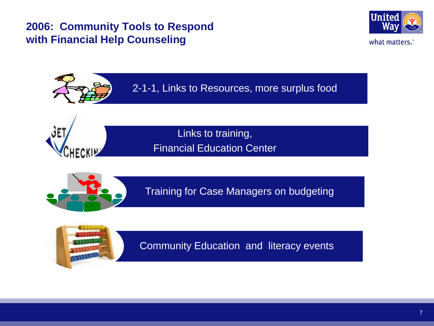#### **2006: Community Tools to Respond with Financial Help Counseling**







Links to training, Financial Education Center



Training for Case Managers on budgeting



Community Education and literacy events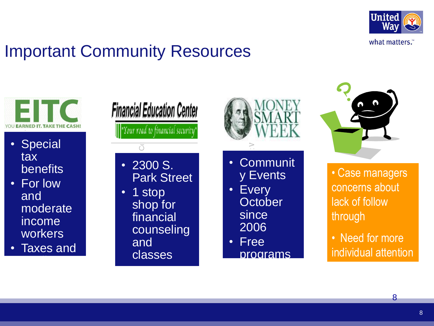

## Important Community Resources



- Special tax benefits
- For low and moderate income workers
- Taxes and credits

**Financial Education Center** 'Your road to fínancíal security'

 $\breve{\circ}$ 

#### • 2300 S. Park Street

 $\frac{5}{6}$  3 a  $\frac{5}{6}$  h. • 1 stop shop for financial counseling and classes



- Mane<br>Or<br>Ve **Communit** y Events
- Every **October** since 2006
- Free programs



• Case managers concerns about lack of follow through

• Need for more individual attention

8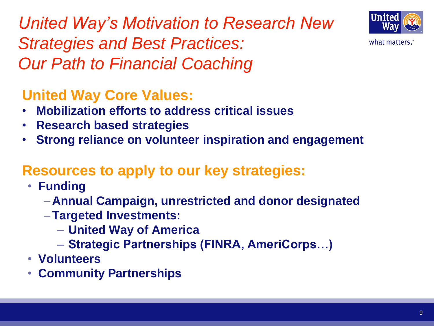*United Way's Motivation to Research New Strategies and Best Practices: Our Path to Financial Coaching*



- **Mobilization efforts to address critical issues**
- **Research based strategies**
- **Strong reliance on volunteer inspiration and engagement**

#### **Resources to apply to our key strategies:**

- **Funding**
	- –**Annual Campaign, unrestricted and donor designated**
	- –**Targeted Investments:**
		- **United Way of America**
		- **Strategic Partnerships (FINRA, AmeriCorps…)**
- **Volunteers**
- **Community Partnerships**



what matters."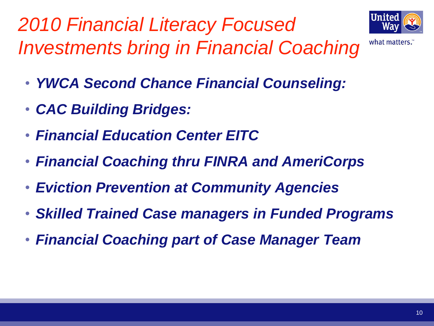*2010 Financial Literacy Focused Investments bring in Financial Coaching*



what matters."

- *YWCA Second Chance Financial Counseling:*
- *CAC Building Bridges:*
- *Financial Education Center EITC*
- *Financial Coaching thru FINRA and AmeriCorps*
- *Eviction Prevention at Community Agencies*
- *Skilled Trained Case managers in Funded Programs*
- *Financial Coaching part of Case Manager Team*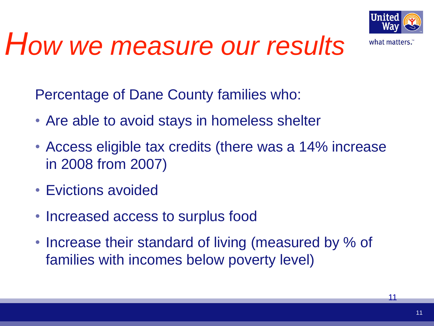

# *How we measure our results*

Percentage of Dane County families who:

- Are able to avoid stays in homeless shelter
- Access eligible tax credits (there was a 14% increase in 2008 from 2007)
- Evictions avoided
- Increased access to surplus food
- Increase their standard of living (measured by % of families with incomes below poverty level)

11